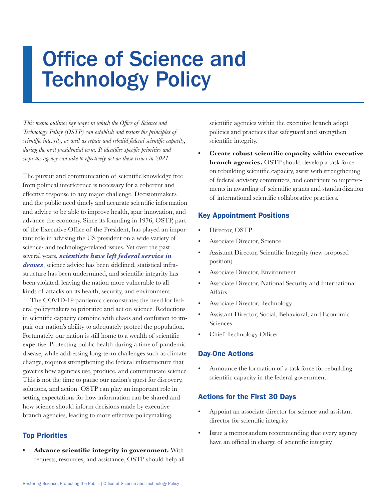# Office of Science and Technology Policy

*This memo outlines key ways in which the Office of Science and Technology Policy (OSTP) can establish and restore the principles of scientific integrity, as well as repair and rebuild federal scientific capacity, during the next presidential term. It identifies specific priorities and steps the agency can take to effectively act on these issues in 2021.*

The pursuit and communication of scientific knowledge free from political interference is necessary for a coherent and effective response to any major challenge. Decisionmakers and the public need timely and accurate scientific information and advice to be able to improve health, spur innovation, and advance the economy. Since its founding in 1976, OSTP, part of the Executive Office of the President, has played an important role in advising the US president on a wide variety of science- and technology-related issues. Yet over the past several years, *[scientists have left federal service in](https://www.ucsusa.org/sites/default/files/images/2018/08/science-under-trump-report.pdf)  [droves](https://www.ucsusa.org/sites/default/files/images/2018/08/science-under-trump-report.pdf)*, science advice has been sidelined, statistical infrastructure has been undermined, and scientific integrity has been violated, leaving the nation more vulnerable to all kinds of attacks on its health, security, and environment.

The COVID-19 pandemic demonstrates the need for federal policymakers to prioritize and act on science. Reductions in scientific capacity combine with chaos and confusion to impair our nation's ability to adequately protect the population. Fortunately, our nation is still home to a wealth of scientific expertise. Protecting public health during a time of pandemic disease, while addressing long-term challenges such as climate change, requires strengthening the federal infrastructure that governs how agencies use, produce, and communicate science. This is not the time to pause our nation's quest for discovery, solutions, and action. OSTP can play an important role in setting expectations for how information can be shared and how science should inform decisions made by executive branch agencies, leading to more effective policymaking.

### Top Priorities

**• Advance scientific integrity in government.** With requests, resources, and assistance, OSTP should help all scientific agencies within the executive branch adopt policies and practices that safeguard and strengthen scientific integrity.

**• Create robust scientific capacity within executive branch agencies.** OSTP should develop a task force on rebuilding scientific capacity, assist with strengthening of federal advisory committees, and contribute to improvements in awarding of scientific grants and standardization of international scientific collaborative practices.

#### Key Appointment Positions

- Director, OSTP
- Associate Director, Science
- Assistant Director, Scientific Integrity (new proposed position)
- Associate Director, Environment
- • Associate Director, National Security and International Affairs
- Associate Director, Technology
- Assistant Director, Social, Behavioral, and Economic Sciences
- Chief Technology Officer

#### Day-One Actions

Announce the formation of a task force for rebuilding scientific capacity in the federal government.

#### Actions for the First 30 Days

- Appoint an associate director for science and assistant director for scientific integrity.
- Issue a memorandum recommending that every agency have an official in charge of scientific integrity.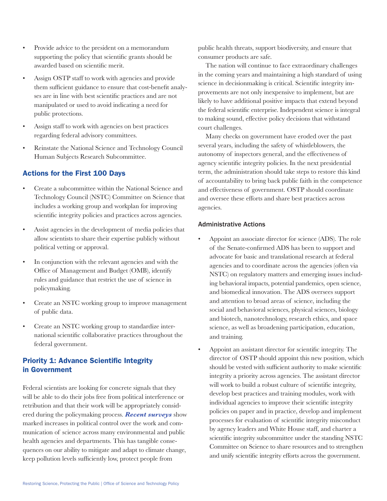- Provide advice to the president on a memorandum supporting the policy that scientific grants should be awarded based on scientific merit.
- Assign OSTP staff to work with agencies and provide them sufficient guidance to ensure that cost-benefit analyses are in line with best scientific practices and are not manipulated or used to avoid indicating a need for public protections.
- Assign staff to work with agencies on best practices regarding federal advisory committees.
- Reinstate the National Science and Technology Council Human Subjects Research Subcommittee.

### Actions for the First 100 Days

- Create a subcommittee within the National Science and Technology Council (NSTC) Committee on Science that includes a working group and workplan for improving scientific integrity policies and practices across agencies.
- Assist agencies in the development of media policies that allow scientists to share their expertise publicly without political vetting or approval.
- In conjunction with the relevant agencies and with the Office of Management and Budget (OMB), identify rules and guidance that restrict the use of science in policymaking.
- Create an NSTC working group to improve management of public data.
- Create an NSTC working group to standardize international scientific collaborative practices throughout the federal government.

## Priority 1: Advance Scientific Integrity in Government

Federal scientists are looking for concrete signals that they will be able to do their jobs free from political interference or retribution and that their work will be appropriately considered during the policymaking process[.](https://www.ucsusa.org/resources/science-under-trump) *[Recent surveys](https://www.ucsusa.org/resources/science-under-trump)* show marked increases in political control over the work and communication of science across many environmental and public health agencies and departments. This has tangible consequences on our ability to mitigate and adapt to climate change, keep pollution levels sufficiently low, protect people from

public health threats, support biodiversity, and ensure that consumer products are safe.

The nation will continue to face extraordinary challenges in the coming years and maintaining a high standard of using science in decisionmaking is critical. Scientific integrity improvements are not only inexpensive to implement, but are likely to have additional positive impacts that extend beyond the federal scientific enterprise. Independent science is integral to making sound, effective policy decisions that withstand court challenges.

Many checks on government have eroded over the past several years, including the safety of whistleblowers, the autonomy of inspectors general, and the effectiveness of agency scientific integrity policies. In the next presidential term, the administration should take steps to restore this kind of accountability to bring back public faith in the competence and effectiveness of government. OSTP should coordinate and oversee these efforts and share best practices across agencies.

#### Administrative Actions

- Appoint an associate director for science (ADS). The role of the Senate-confirmed ADS has been to support and advocate for basic and translational research at federal agencies and to coordinate across the agencies (often via NSTC) on regulatory matters and emerging issues including behavioral impacts, potential pandemics, open science, and biomedical innovation. The ADS oversees support and attention to broad areas of science, including the social and behavioral sciences, physical sciences, biology and biotech, nanotechnology, research ethics, and space science, as well as broadening participation, education, and training.
- Appoint an assistant director for scientific integrity. The director of OSTP should appoint this new position, which should be vested with sufficient authority to make scientific integrity a priority across agencies. The assistant director will work to build a robust culture of scientific integrity, develop best practices and training modules, work with individual agencies to improve their scientific integrity policies on paper and in practice, develop and implement processes for evaluation of scientific integrity misconduct by agency leaders and White House staff, and charter a scientific integrity subcommittee under the standing NSTC Committee on Science to share resources and to strengthen and unify scientific integrity efforts across the government.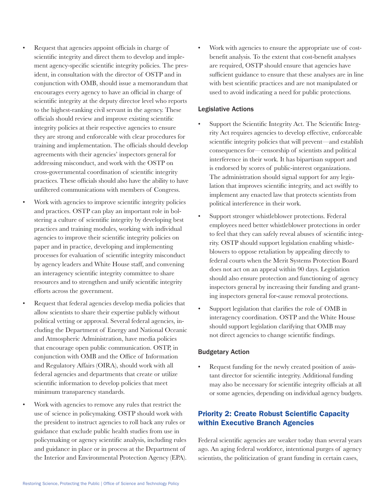Request that agencies appoint officials in charge of scientific integrity and direct them to develop and implement agency-specific scientific integrity policies. The president, in consultation with the director of OSTP and in conjunction with OMB, should issue a memorandum that encourages every agency to have an official in charge of scientific integrity at the deputy director level who reports to the highest-ranking civil servant in the agency. These officials should review and improve existing scientific integrity policies at their respective agencies to ensure they are strong and enforceable with clear procedures for training and implementation. The officials should develop agreements with their agencies' inspectors general for addressing misconduct, and work with the OSTP on cross-governmental coordination of scientific integrity practices. These officials should also have the ability to have unfiltered communications with members of Congress.

- Work with agencies to improve scientific integrity policies and practices. OSTP can play an important role in bolstering a culture of scientific integrity by developing best practices and training modules, working with individual agencies to improve their scientific integrity policies on paper and in practice, developing and implementing processes for evaluation of scientific integrity misconduct by agency leaders and White House staff, and convening an interagency scientific integrity committee to share resources and to strengthen and unify scientific integrity efforts across the government.
- Request that federal agencies develop media policies that allow scientists to share their expertise publicly without political vetting or approval. Several federal agencies, including the Department of Energy and National Oceanic and Atmospheric Administration, have media policies that encourage open public communication. OSTP, in conjunction with OMB and the Office of Information and Regulatory Affairs (OIRA), should work with all federal agencies and departments that create or utilize scientific information to develop policies that meet minimum transparency standards.
- Work with agencies to remove any rules that restrict the use of science in policymaking. OSTP should work with the president to instruct agencies to roll back any rules or guidance that exclude public health studies from use in policymaking or agency scientific analysis, including rules and guidance in place or in process at the Department of the Interior and Environmental Protection Agency (EPA).

Work with agencies to ensure the appropriate use of costbenefit analysis. To the extent that cost-benefit analyses are required, OSTP should ensure that agencies have sufficient guidance to ensure that these analyses are in line with best scientific practices and are not manipulated or used to avoid indicating a need for public protections.

#### Legislative Actions

- Support the Scientific Integrity Act. The Scientific Integrity Act requires agencies to develop effective, enforceable scientific integrity policies that will prevent—and establish consequences for—censorship of scientists and political interference in their work. It has bipartisan support and is endorsed by scores of public-interest organizations. The administration should signal support for any legislation that improves scientific integrity, and act swiftly to implement any enacted law that protects scientists from political interference in their work.
- Support stronger whistleblower protections. Federal employees need better whistleblower protections in order to feel that they can safely reveal abuses of scientific integrity. OSTP should support legislation enabling whistleblowers to oppose retaliation by appealing directly to federal courts when the Merit Systems Protection Board does not act on an appeal within 90 days. Legislation should also ensure protection and functioning of agency inspectors general by increasing their funding and granting inspectors general for-cause removal protections.
- Support legislation that clarifies the role of OMB in interagency coordination. OSTP and the White House should support legislation clarifying that OMB may not direct agencies to change scientific findings.

#### Budgetary Action

Request funding for the newly created position of assistant director for scientific integrity. Additional funding may also be necessary for scientific integrity officials at all or some agencies, depending on individual agency budgets.

## Priority 2: Create Robust Scientific Capacity within Executive Branch Agencies

Federal scientific agencies are weaker today than several years ago. An aging federal workforce, intentional purges of agency scientists, the politicization of grant funding in certain cases,